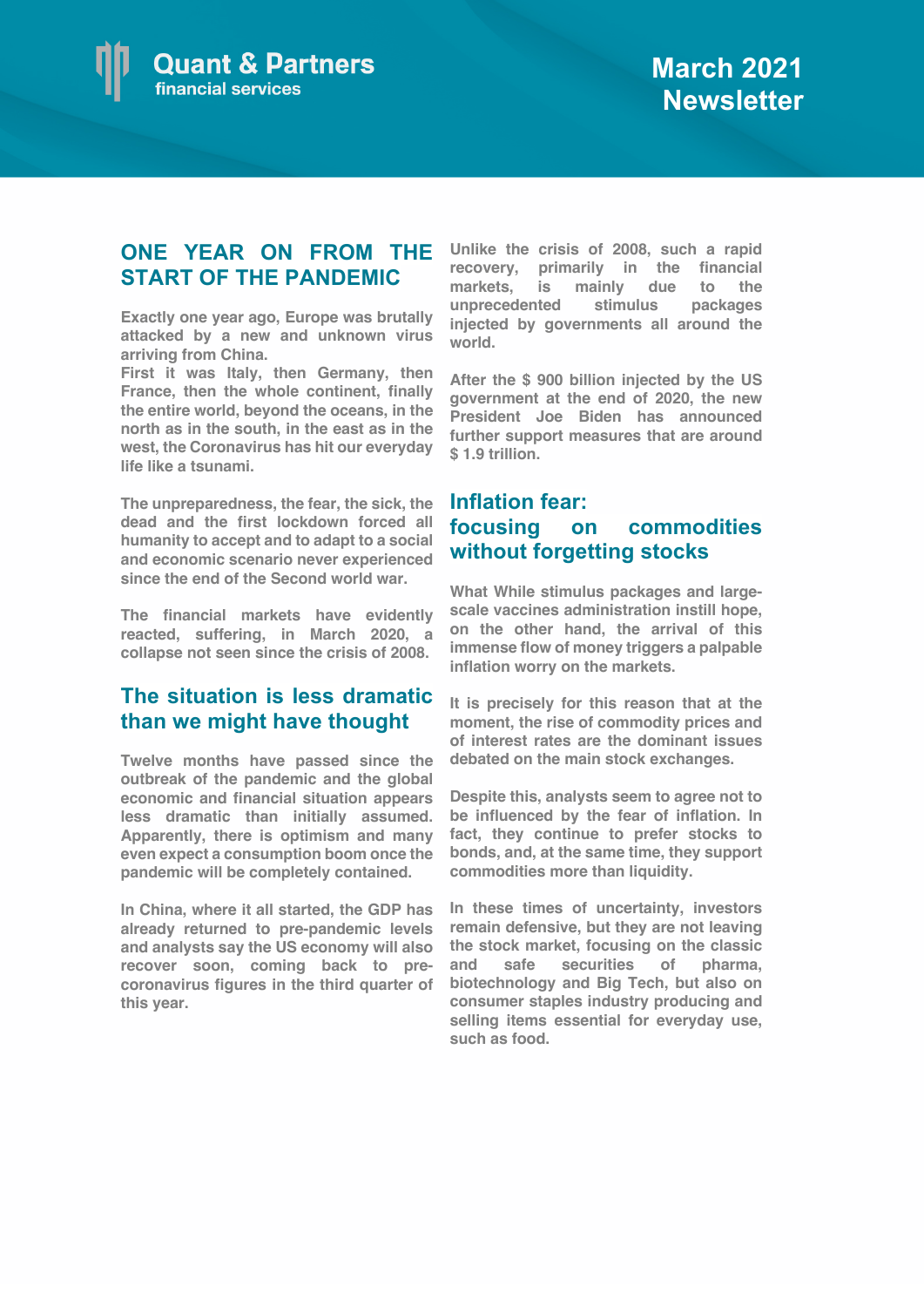

## **ONE YEAR ON FROM THE START OF THE PANDEMIC**

**Exactly one year ago, Europe was brutally attacked by a new and unknown virus arriving from China.** 

**First it was Italy, then Germany, then France, then the whole continent, finally the entire world, beyond the oceans, in the north as in the south, in the east as in the west, the Coronavirus has hit our everyday life like a tsunami.** 

**The unpreparedness, the fear, the sick, the dead and the first lockdown forced all humanity to accept and to adapt to a social and economic scenario never experienced since the end of the Second world war.**

**The financial markets have evidently reacted, suffering, in March 2020, a collapse not seen since the crisis of 2008.**

## **The situation is less dramatic than we might have thought**

**Twelve months have passed since the outbreak of the pandemic and the global economic and financial situation appears less dramatic than initially assumed. Apparently, there is optimism and many even expect a consumption boom once the pandemic will be completely contained.**

**In China, where it all started, the GDP has already returned to pre-pandemic levels and analysts say the US economy will also recover soon, coming back to precoronavirus figures in the third quarter of this year.** 

**Unlike the crisis of 2008, such a rapid recovery, primarily in the financial markets, is mainly due to the unprecedented stimulus packages injected by governments all around the world.** 

**After the \$ 900 billion injected by the US government at the end of 2020, the new President Joe Biden has announced further support measures that are around \$ 1.9 trillion.**

## **Inflation fear: focusing on commodities without forgetting stocks**

**What While stimulus packages and largescale vaccines administration instill hope, on the other hand, the arrival of this immense flow of money triggers a palpable inflation worry on the markets.**

**It is precisely for this reason that at the moment, the rise of commodity prices and of interest rates are the dominant issues debated on the main stock exchanges.**

**Despite this, analysts seem to agree not to be influenced by the fear of inflation. In fact, they continue to prefer stocks to bonds, and, at the same time, they support commodities more than liquidity.**

**In these times of uncertainty, investors remain defensive, but they are not leaving the stock market, focusing on the classic**  and safe securities of **biotechnology and Big Tech, but also on consumer staples industry producing and selling items essential for everyday use, such as food.**